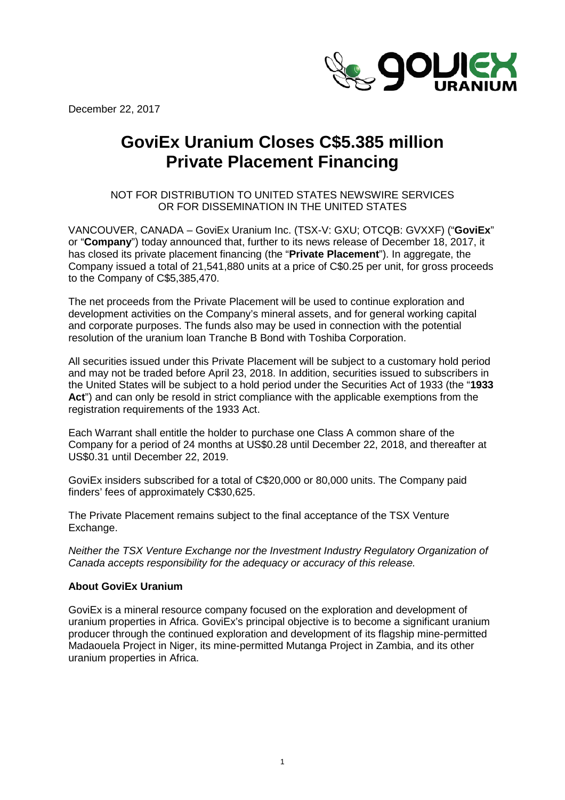December 22, 2017



## **GoviEx Uranium Closes C\$5.385 million Private Placement Financing**

NOT FOR DISTRIBUTION TO UNITED STATES NEWSWIRE SERVICES OR FOR DISSEMINATION IN THE UNITED STATES

VANCOUVER, CANADA – GoviEx Uranium Inc. (TSX-V: GXU; OTCQB: GVXXF) ("**GoviEx**" or "**Company**") today announced that, further to its news release of December 18, 2017, it has closed its private placement financing (the "**Private Placement**"). In aggregate, the Company issued a total of 21,541,880 units at a price of C\$0.25 per unit, for gross proceeds to the Company of C\$5,385,470.

The net proceeds from the Private Placement will be used to continue exploration and development activities on the Company's mineral assets, and for general working capital and corporate purposes. The funds also may be used in connection with the potential resolution of the uranium loan Tranche B Bond with Toshiba Corporation.

All securities issued under this Private Placement will be subject to a customary hold period and may not be traded before April 23, 2018. In addition, securities issued to subscribers in the United States will be subject to a hold period under the Securities Act of 1933 (the "**1933 Act**") and can only be resold in strict compliance with the applicable exemptions from the registration requirements of the 1933 Act.

Each Warrant shall entitle the holder to purchase one Class A common share of the Company for a period of 24 months at US\$0.28 until December 22, 2018, and thereafter at US\$0.31 until December 22, 2019.

GoviEx insiders subscribed for a total of C\$20,000 or 80,000 units. The Company paid finders' fees of approximately C\$30,625.

The Private Placement remains subject to the final acceptance of the TSX Venture Exchange.

*Neither the TSX Venture Exchange nor the Investment Industry Regulatory Organization of Canada accepts responsibility for the adequacy or accuracy of this release.*

## **About GoviEx Uranium**

GoviEx is a mineral resource company focused on the exploration and development of uranium properties in Africa. GoviEx's principal objective is to become a significant uranium producer through the continued exploration and development of its flagship mine-permitted Madaouela Project in Niger, its mine-permitted Mutanga Project in Zambia, and its other uranium properties in Africa.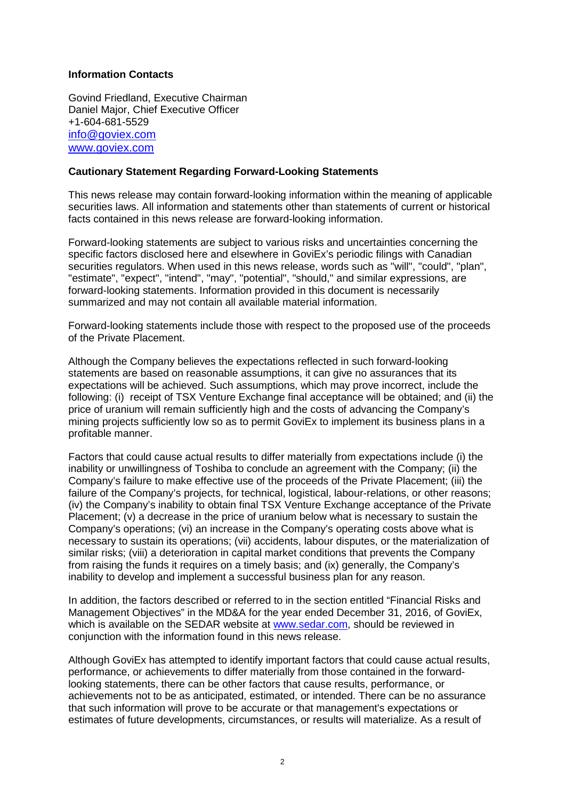## **Information Contacts**

Govind Friedland, Executive Chairman Daniel Major, Chief Executive Officer +1-604-681-5529 [info@goviex.com](mailto:info@goviex.com) [www.goviex.com](http://www.goviex.com/)

## **Cautionary Statement Regarding Forward-Looking Statements**

This news release may contain forward-looking information within the meaning of applicable securities laws. All information and statements other than statements of current or historical facts contained in this news release are forward-looking information.

Forward-looking statements are subject to various risks and uncertainties concerning the specific factors disclosed here and elsewhere in GoviEx's periodic filings with Canadian securities regulators. When used in this news release, words such as "will", "could", "plan", "estimate", "expect", "intend", "may", "potential", "should," and similar expressions, are forward-looking statements. Information provided in this document is necessarily summarized and may not contain all available material information.

Forward-looking statements include those with respect to the proposed use of the proceeds of the Private Placement.

Although the Company believes the expectations reflected in such forward-looking statements are based on reasonable assumptions, it can give no assurances that its expectations will be achieved. Such assumptions, which may prove incorrect, include the following: (i) receipt of TSX Venture Exchange final acceptance will be obtained; and (ii) the price of uranium will remain sufficiently high and the costs of advancing the Company's mining projects sufficiently low so as to permit GoviEx to implement its business plans in a profitable manner.

Factors that could cause actual results to differ materially from expectations include (i) the inability or unwillingness of Toshiba to conclude an agreement with the Company; (ii) the Company's failure to make effective use of the proceeds of the Private Placement; (iii) the failure of the Company's projects, for technical, logistical, labour-relations, or other reasons; (iv) the Company's inability to obtain final TSX Venture Exchange acceptance of the Private Placement; (v) a decrease in the price of uranium below what is necessary to sustain the Company's operations; (vi) an increase in the Company's operating costs above what is necessary to sustain its operations; (vii) accidents, labour disputes, or the materialization of similar risks; (viii) a deterioration in capital market conditions that prevents the Company from raising the funds it requires on a timely basis; and (ix) generally, the Company's inability to develop and implement a successful business plan for any reason.

In addition, the factors described or referred to in the section entitled "Financial Risks and Management Objectives" in the MD&A for the year ended December 31, 2016, of GoviEx, which is available on the SEDAR website at [www.sedar.com,](http://www.sedar.com/) should be reviewed in conjunction with the information found in this news release.

Although GoviEx has attempted to identify important factors that could cause actual results, performance, or achievements to differ materially from those contained in the forwardlooking statements, there can be other factors that cause results, performance, or achievements not to be as anticipated, estimated, or intended. There can be no assurance that such information will prove to be accurate or that management's expectations or estimates of future developments, circumstances, or results will materialize. As a result of